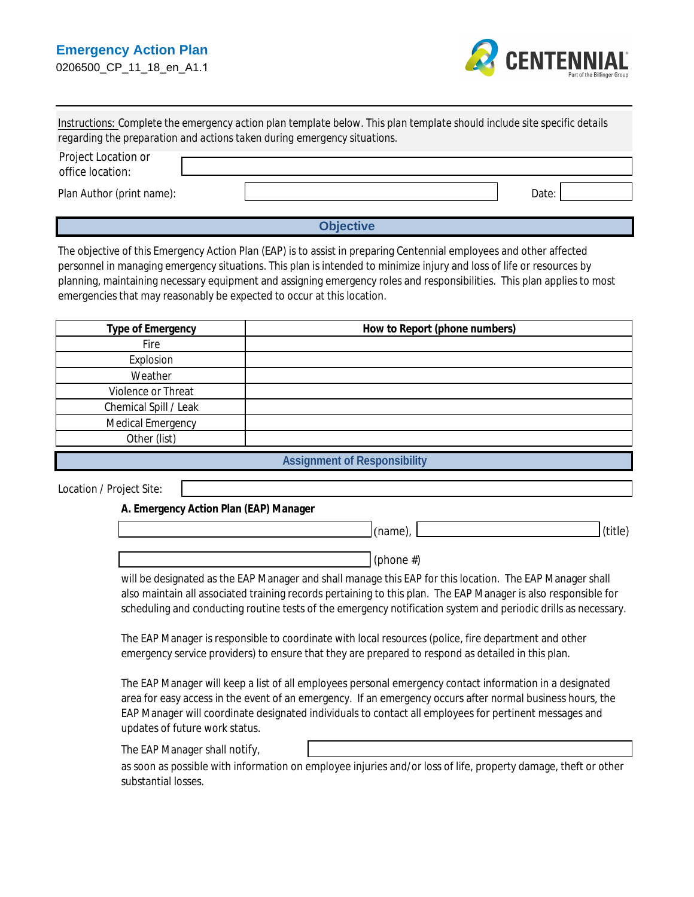

| Instructions: Complete the emergency action plan template below. This plan template should include site specific details |
|--------------------------------------------------------------------------------------------------------------------------|
| regarding the preparation and actions taken during emergency situations.                                                 |

| <b>Project Location or</b><br>office location: |       |
|------------------------------------------------|-------|
| <b>Plan Author (print name):</b>               | Date: |

# **Objective**

The objective of this Emergency Action Plan (EAP) is to assist in preparing Centennial employees and other affected personnel in managing emergency situations. This plan is intended to minimize injury and loss of life or resources by planning, maintaining necessary equipment and assigning emergency roles and responsibilities. This plan applies to most emergencies that may reasonably be expected to occur at this location.

| <b>Type of Emergency</b>     | <b>How to Report (phone numbers)</b> |
|------------------------------|--------------------------------------|
| <b>Fire</b>                  |                                      |
| <b>Explosion</b>             |                                      |
| Weather                      |                                      |
| <b>Violence or Threat</b>    |                                      |
| <b>Chemical Spill / Leak</b> |                                      |
| <b>Medical Emergency</b>     |                                      |
| Other (list)                 |                                      |
|                              | <b>Assignment of Responsibility</b>  |

**Location / Project Site:** 

 $\mathsf{I}$ 

A. Emergency Action Plan (EAP) Manager

| . | $\cdots$ |
|---|----------|
|   |          |

(phone  $#$ )

will be designated as the EAP Manager and shall manage this EAP for this location. The EAP Manager shall also maintain all associated training records pertaining to this plan. The EAP Manager is also responsible for scheduling and conducting routine tests of the emergency notification system and periodic drills as necessary.

The EAP Manager is responsible to coordinate with local resources (police, fire department and other emergency service providers) to ensure that they are prepared to respond as detailed in this plan.

The EAP Manager will keep a list of all employees personal emergency contact information in a designated area for easy access in the event of an emergency. If an emergency occurs after normal business hours, the EAP Manager will coordinate designated individuals to contact all employees for pertinent messages and updates of future work status.

The EAP Manager shall notify,

as soon as possible with information on employee injuries and/or loss of life, property damage, theft or other substantial losses.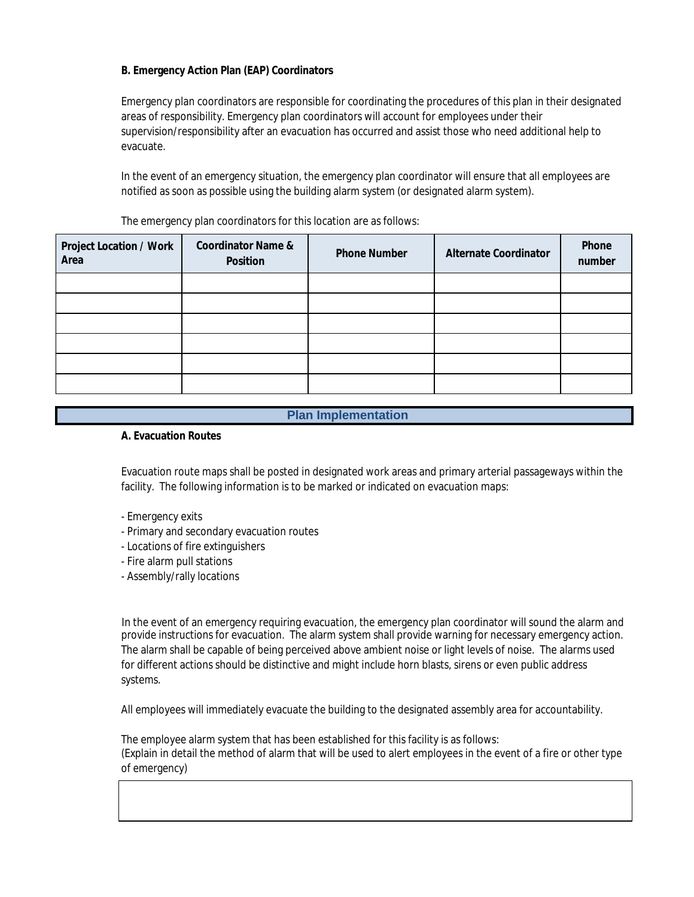# **B. Emergency Action Plan (EAP) Coordinators**

Emergency plan coordinators are responsible for coordinating the procedures of this plan in their designated areas of responsibility. Emergency plan coordinators will account for employees under their supervision/responsibility after an evacuation has occurred and assist those who need additional help to evacuate.

In the event of an emergency situation, the emergency plan coordinator will ensure that all employees are notified as soon as possible using the building alarm system (or designated alarm system).

| <b>Project Location / Work</b><br><b>Area</b> | <b>Coordinator Name &amp;</b><br><b>Position</b> | <b>Phone Number</b> | <b>Alternate Coordinator</b> | <b>Phone</b><br>number |
|-----------------------------------------------|--------------------------------------------------|---------------------|------------------------------|------------------------|
|                                               |                                                  |                     |                              |                        |
|                                               |                                                  |                     |                              |                        |
|                                               |                                                  |                     |                              |                        |
|                                               |                                                  |                     |                              |                        |
|                                               |                                                  |                     |                              |                        |
|                                               |                                                  |                     |                              |                        |

The emergency plan coordinators for this location are as follows:

## **Plan Implementation**

#### **A. Evacuation Routes**

Evacuation route maps shall be posted in designated work areas and primary arterial passageways within the facility. The following information is to be marked or indicated on evacuation maps:

- Emergency exits
- Primary and secondary evacuation routes
- Locations of fire extinguishers
- Fire alarm pull stations
- Assembly/rally locations

In the event of an emergency requiring evacuation, the emergency plan coordinator will sound the alarm and provide instructions for evacuation. The alarm system shall provide warning for necessary emergency action. The alarm shall be capable of being perceived above ambient noise or light levels of noise. The alarms used for different actions should be distinctive and might include horn blasts, sirens or even public address systems.

All employees will immediately evacuate the building to the designated assembly area for accountability.

The employee alarm system that has been established for this facility is as follows: (Explain in detail the method of alarm that will be used to alert employees in the event of a fire or other type of emergency)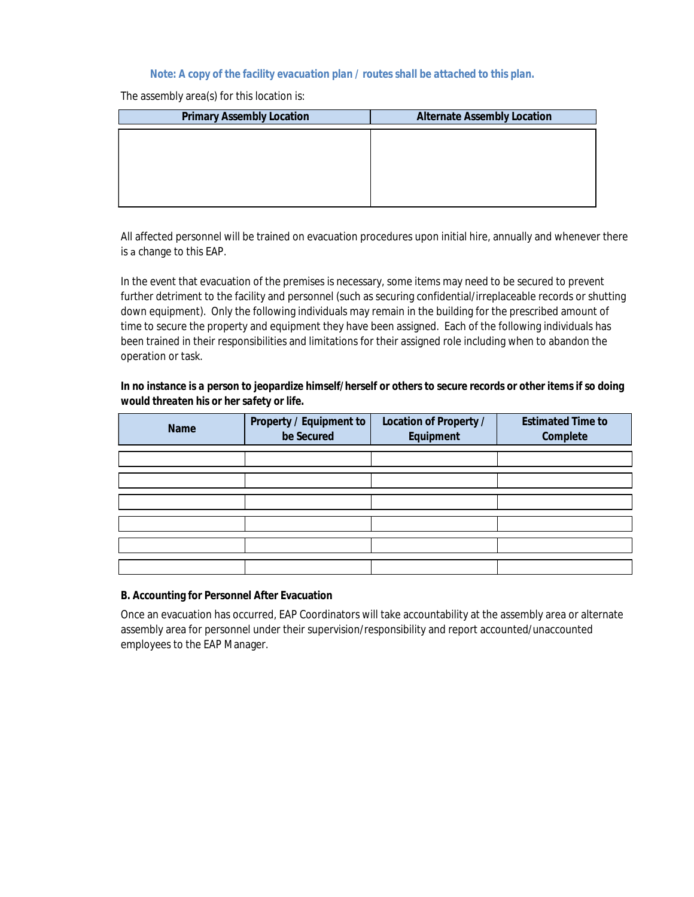# Note: A copy of the facility evacuation plan / routes shall be attached to this plan.

The assembly area(s) for this location is:

| <b>Primary Assembly Location</b> | <b>Alternate Assembly Location</b> |
|----------------------------------|------------------------------------|
|                                  |                                    |
|                                  |                                    |
|                                  |                                    |
|                                  |                                    |
|                                  |                                    |

All affected personnel will be trained on evacuation procedures upon initial hire, annually and whenever there is a change to this EAP.

In the event that evacuation of the premises is necessary, some items may need to be secured to prevent further detriment to the facility and personnel (such as securing confidential/irreplaceable records or shutting down equipment). Only the following individuals may remain in the building for the prescribed amount of time to secure the property and equipment they have been assigned. Each of the following individuals has been trained in their responsibilities and limitations for their assigned role including when to abandon the operation or task.

In no instance is a person to jeopardize himself/herself or others to secure records or other items if so doing would threaten his or her safety or life.

| <b>Name</b> | <b>Property / Equipment to</b><br>be Secured | <b>Location of Property /</b><br><b>Equipment</b> | <b>Estimated Time to</b><br><b>Complete</b> |
|-------------|----------------------------------------------|---------------------------------------------------|---------------------------------------------|
|             |                                              |                                                   |                                             |
|             |                                              |                                                   |                                             |
|             |                                              |                                                   |                                             |
|             |                                              |                                                   |                                             |
|             |                                              |                                                   |                                             |
|             |                                              |                                                   |                                             |

## **B. Accounting for Personnel After Evacuation**

Once an evacuation has occurred, EAP Coordinators will take accountability at the assembly area or alternate assembly area for personnel under their supervision/responsibility and report accounted/unaccounted employees to the EAP Manager.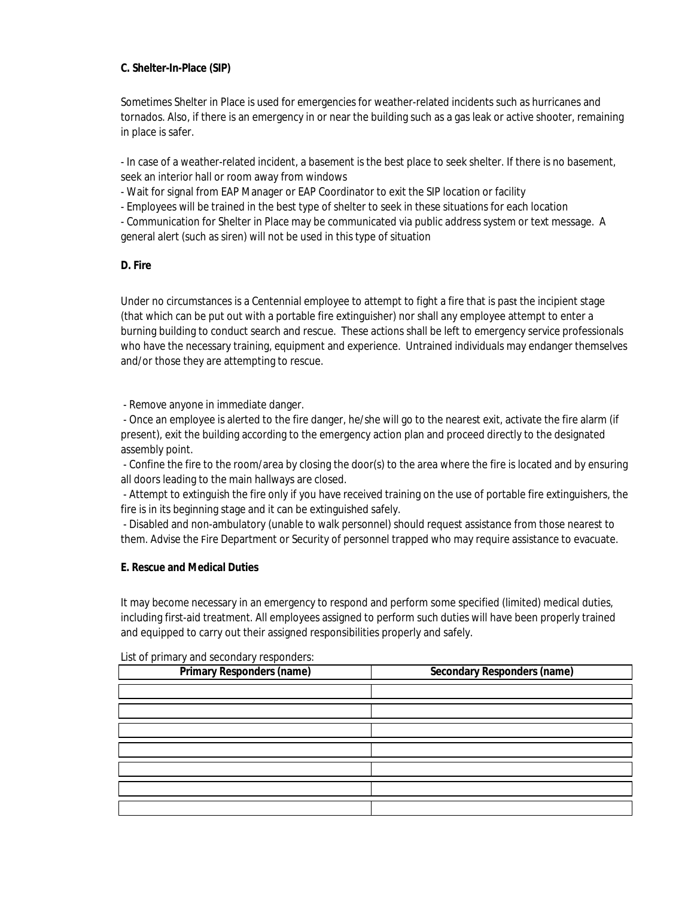## C. Shelter-In-Place (SIP)

Sometimes Shelter in Place is used for emergencies for weather-related incidents such as hurricanes and tornados. Also, if there is an emergency in or near the building such as a gas leak or active shooter, remaining in place is safer.

- In case of a weather-related incident, a basement is the best place to seek shelter. If there is no basement, seek an interior hall or room away from windows

- Wait for signal from EAP Manager or EAP Coordinator to exit the SIP location or facility

- Employees will be trained in the best type of shelter to seek in these situations for each location

- Communication for Shelter in Place may be communicated via public address system or text message. A general alert (such as siren) will not be used in this type of situation

# D. Fire

Under no circumstances is a Centennial employee to attempt to fight a fire that is past the incipient stage (that which can be put out with a portable fire extinguisher) nor shall any employee attempt to enter a burning building to conduct search and rescue. These actions shall be left to emergency service professionals who have the necessary training, equipment and experience. Untrained individuals may endanger themselves and/or those they are attempting to rescue.

- Remove anyone in immediate danger.

- Once an employee is alerted to the fire danger, he/she will go to the nearest exit, activate the fire alarm (if present), exit the building according to the emergency action plan and proceed directly to the designated assembly point.

- Confine the fire to the room/area by closing the door(s) to the area where the fire is located and by ensuring all doors leading to the main hallways are closed.

- Attempt to extinguish the fire only if you have received training on the use of portable fire extinguishers, the fire is in its beginning stage and it can be extinguished safely.

- Disabled and non-ambulatory (unable to walk personnel) should request assistance from those nearest to them. Advise the Fire Department or Security of personnel trapped who may require assistance to evacuate.

## **E. Rescue and Medical Duties**

It may become necessary in an emergency to respond and perform some specified (limited) medical duties, including first-aid treatment. All employees assigned to perform such duties will have been properly trained and equipped to carry out their assigned responsibilities properly and safely.

| Primary Responders (name) | <b>Secondary Responders (name)</b> |  |
|---------------------------|------------------------------------|--|
|                           |                                    |  |
|                           |                                    |  |
|                           |                                    |  |
|                           |                                    |  |
|                           |                                    |  |
|                           |                                    |  |
|                           |                                    |  |
|                           |                                    |  |

List of primary and secondary responders: